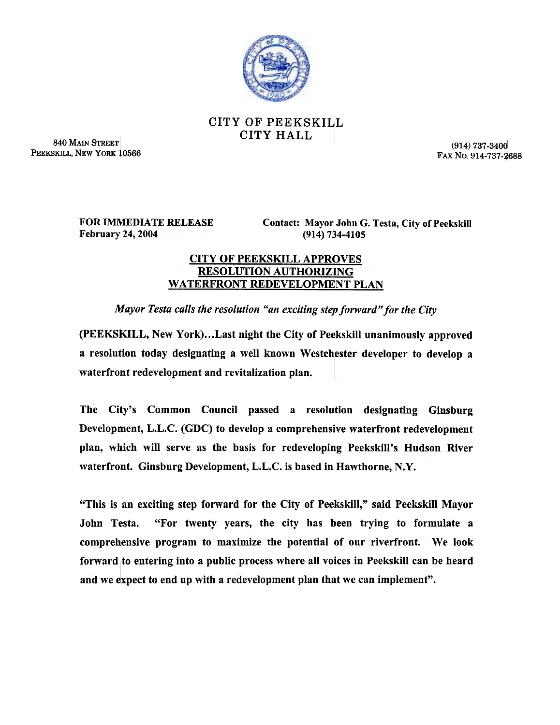

## CITY OF PEEKSKILL CITY HALL

840 MAIN STREET PEEKSKILL, NEW YORK 10566

(914) 737-340Q FAX No. 914-737-2688

FOR IMMEDIATE RELEASE February 24, 2004

Contact: Mayor John G. Testa, City of Peekskill (914) 734-4105

## **CITY OF PEEKSKILL APPROVES** RESOLUTION AUTHORIZING WATERFRONT REDEVELOPMENT PLAN

Mayor Testa calls the resolution "an exciting step forward" for the City

(PEEKSKILL, New York)...Last night the City of Peekskill unanimously approved a resolution today designating a well known Westchester developer to develop a waterfront redevelopment and revitalization plan.

The City's Common Council passed a resolution designating Ginsburg Development, L.L.C. (GDC) to develop a comprehensive waterfront redevelopment plan, which will serve as the basis for redeveloping Peekskill's Hudson River waterfront. Ginsburg Development, L.L.C. is based in Hawthorne, N.Y.

"This is an exciting step forward for the City of Peekskill," said Peekskill Mayor John Testa. "For twenty years, the city has been trying to formulate a comprehensive program to maximize the potential of our riverfront. We look forward to entering into a public process where all voices in Peekskill can be heard and we expect to end up with a redevelopment plan that we can implement".